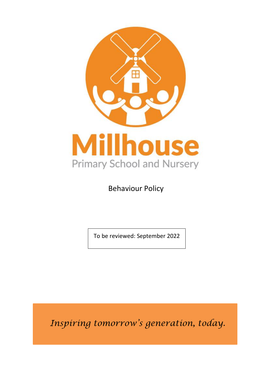

Behaviour Policy

To be reviewed: September 2022

*Inspiring tomorrow's generation, today.*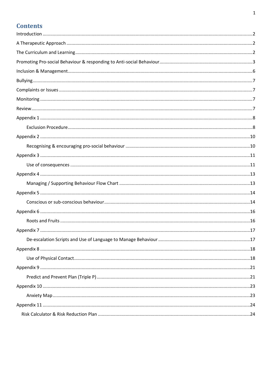# **Contents**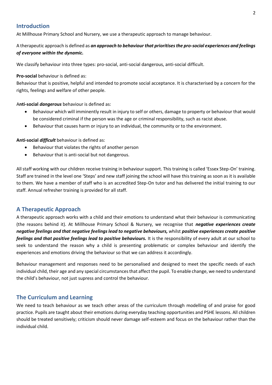### <span id="page-2-0"></span>**Introduction**

At Millhouse Primary School and Nursery, we use a therapeutic approach to manage behaviour.

A therapeutic approach is defined as *an approach to behaviour that prioritises the pro-social experiences and feelings of everyone within the dynamic.*

We classify behaviour into three types: pro-social, anti-social dangerous, anti-social difficult.

### **Pro-social** behaviour is defined as:

Behaviour that is positive, helpful and intended to promote social acceptance. It is characterised by a concern for the rights, feelings and welfare of other people.

A**nti-social** *dangerous* behaviour is defined as:

- Behaviour which will imminently result in injury to self or others, damage to property or behaviour that would be considered criminal if the person was the age or criminal responsibility, such as racist abuse.
- Behaviour that causes harm or injury to an individual, the community or to the environment.

**Anti-social** *difficult* behaviour is defined as:

- Behaviour that violates the rights of another person
- Behaviour that is anti-social but not dangerous.

All staff working with our children receive training in behaviour support. This training is called 'Essex Step-On' training. Staff are trained in the level one 'Steps' and new staff joining the school will have this training as soon as it is available to them. We have a member of staff who is an accredited Step-On tutor and has delivered the initial training to our staff. Annual refresher training is provided for all staff.

### <span id="page-2-1"></span>**A Therapeutic Approach**

A therapeutic approach works with a child and their emotions to understand what their behaviour is communicating (the reasons behind it). At Millhouse Primary School & Nursery, we recognise that *negative experiences create negative feelings and that negative feelings lead to negative behaviours, w*hilst *positive experiences create positive feelings and that positive feelings lead to positive behaviours.* It is the responsibility of every adult at our school to seek to understand the reason why a child is presenting problematic or complex behaviour and identify the experiences and emotions driving the behaviour so that we can address it accordingly.

Behaviour management and responses need to be personalised and designed to meet the specific needs of each individual child, their age and any special circumstances that affect the pupil. To enable change, we need to understand the child's behaviour, not just supress and control the behaviour.

### <span id="page-2-2"></span>**The Curriculum and Learning**

We need to teach behaviour as we teach other areas of the curriculum through modelling of and praise for good practice. Pupils are taught about their emotions during everyday teaching opportunities and PSHE lessons. All children should be treated sensitively; criticism should never damage self-esteem and focus on the behaviour rather than the individual child.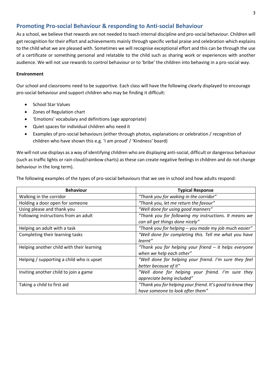### <span id="page-3-0"></span>**Promoting Pro-social Behaviour & responding to Anti-social Behaviour**

As a school, we believe that rewards are not needed to teach internal discipline and pro-social behaviour. Children will get recognition for their effort and achievements mainly through specific verbal praise and celebration which explains to the child what we are pleased with. Sometimes we will recognise exceptional effort and this can be through the use of a certificate or something personal and relatable to the child such as sharing work or experiences with another audience. We will not use rewards to control behaviour or to 'bribe' the children into behaving in a pro-social way.

### **Environment**

Our school and classrooms need to be supportive. Each class will have the following clearly displayed to encourage pro-social behaviour and support children who may be finding it difficult:

- School Star Values
- Zones of Regulation chart
- 'Emotions' vocabulary and definitions (age appropriate)
- Quiet spaces for individual children who need it
- Examples of pro-social behaviours (either through photos, explanations or celebration / recognition of children who have shown this e.g. 'I am proud' / 'Kindness' board)

We will not use displays as a way of identifying children who are displaying anti-social, difficult or dangerous behaviour (such as traffic lights or rain cloud/rainbow charts) as these can create negative feelings in children and do not change behaviour in the long term).

The following examples of the types of pro-social behaviours that we see in school and how adults respond:

| <b>Behaviour</b>                          | <b>Typical Response</b>                                    |
|-------------------------------------------|------------------------------------------------------------|
| Walking in the corridor                   | "Thank you for waking in the corridor"                     |
| Holding a door open for someone           | "Thank you, let me return the favour"                      |
| Using please and thank you                | "Well done for using good manners"                         |
| Following instructions from an adult      | "Thank you for following my instructions. It means we      |
|                                           | can all get things done nicely"                            |
| Helping an adult with a task              | "Thank you for helping - you made my job much easier"      |
| Completing their learning tasks           | "Well done for completing this. Tell me what you have      |
|                                           | learnt"                                                    |
| Helping another child with their learning | "Thank you for helping your friend - it helps everyone     |
|                                           | when we help each other"                                   |
| Helping / supporting a child who is upset | "Well done for helping your friend. I'm sure they feel     |
|                                           | better because of it"                                      |
| Inviting another child to join a game     | "Well done for helping your friend. I'm sure they          |
|                                           | appreciate being included"                                 |
| Taking a child to first aid               | "Thank you for helping your friend. It's good to know they |
|                                           | have someone to look after them"                           |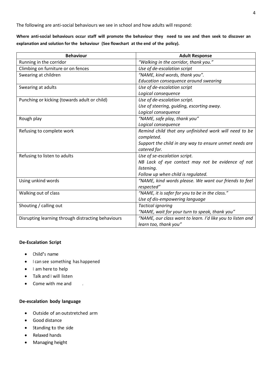The following are anti-social behaviours we see in school and how adults will respond:

**Where anti-social behaviours occur staff will promote the behaviour they need to see and then seek to discover an explanation and solution for the behaviour (See flowchart at the end of the policy).**

| <b>Behaviour</b>                                   | <b>Adult Response</b>                                      |
|----------------------------------------------------|------------------------------------------------------------|
| Running in the corridor                            | "Walking in the corridor, thank you."                      |
| Climbing on furniture or on fences                 | Use of de-escalation script                                |
| Swearing at children                               | "NAME, kind words, thank you".                             |
|                                                    | Education consequence around swearing                      |
| Swearing at adults                                 | Use of de-escalation script                                |
|                                                    | Logical consequence                                        |
| Punching or kicking (towards adult or child)       | Use of de-escalation script.                               |
|                                                    | Use of steering, guiding, escorting away.                  |
|                                                    | Logical consequence                                        |
| Rough play                                         | "NAME, safe play, thank you"                               |
|                                                    | Logical consequence                                        |
| Refusing to complete work                          | Remind child that any unfinished work will need to be      |
|                                                    | completed.                                                 |
|                                                    | Support the child in any way to ensure unmet needs are     |
|                                                    | catered for.                                               |
| Refusing to listen to adults                       | Use of se-escalation script.                               |
|                                                    | NB Lack of eye contact may not be evidence of not          |
|                                                    | listening.                                                 |
|                                                    | Follow up when child is regulated.                         |
| Using unkind words                                 | "NAME, kind words please. We want our friends to feel      |
|                                                    | respected"                                                 |
| Walking out of class                               | "NAME, it is safer for you to be in the class."            |
|                                                    | Use of dis-empowering language                             |
| Shouting / calling out                             | <b>Tactical ignoring</b>                                   |
|                                                    | "NAME, wait for your turn to speak, thank you"             |
| Disrupting learning through distracting behaviours | "NAME, our class want to learn. I'd like you to listen and |
|                                                    | learn too, thank you"                                      |

### **De-Escalation Script**

- Child's name
- <sup>I</sup> can see something has happened
- I am here to help
- Talk and I will listen
- Come with me and .

### **De-escalation body language**

- Outside of an outstretched arm
- Good distance
- Standing to the side
- Relaxed hands
- Managing height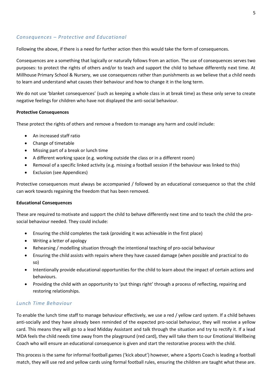### *Consequences – Protective and Educational*

Following the above, if there is a need for further action then this would take the form of consequences.

Consequences are a something that logically or naturally follows from an action. The use of consequences serves two purposes: to protect the rights of others and/or to teach and support the child to behave differently next time. At Millhouse Primary School & Nursery, we use consequences rather than punishments as we believe that a child needs to learn and understand what causes their behaviour and how to change it in the long term.

We do not use 'blanket consequences' (such as keeping a whole class in at break time) as these only serve to create negative feelings for children who have not displayed the anti-social behaviour.

### **Protective Consequences**

These protect the rights of others and remove a freedom to manage any harm and could include:

- An increased staff ratio
- Change of timetable
- Missing part of a break or lunch time
- A different working space (e.g. working outside the class or in a different room)
- Removal of a specific linked activity (e.g. missing a football session if the behaviour was linked to this)
- Exclusion (see Appendices)

Protective consequences must always be accompanied / followed by an educational consequence so that the child can work towards regaining the freedom that has been removed.

### **Educational Consequences**

These are required to motivate and support the child to behave differently next time and to teach the child the prosocial behaviour needed. They could include:

- Ensuring the child completes the task (providing it was achievable in the first place)
- Writing a letter of apology
- Rehearsing / modelling situation through the intentional teaching of pro-social behaviour
- Ensuring the child assists with repairs where they have caused damage (when possible and practical to do so)
- Intentionally provide educational opportunities for the child to learn about the impact of certain actions and behaviours.
- Providing the child with an opportunity to 'put things right' through a process of reflecting, repairing and restoring relationships.

### *Lunch Time Behaviour*

To enable the lunch time staff to manage behaviour effectively, we use a red / yellow card system. If a child behaves anti-socially and they have already been reminded of the expected pro-social behaviour, they will receive a yellow card. This means they will go to a lead Midday Assistant and talk through the situation and try to rectify it. If a lead MDA feels the child needs time away from the playground (red card), they will take them to our Emotional Wellbeing Coach who will ensure an educational consequence is given and start the restorative process with the child.

This process is the same for informal football games ('kick about') however, where a Sports Coach is leading a football match, they will use red and yellow cards using formal football rules, ensuring the children are taught what these are.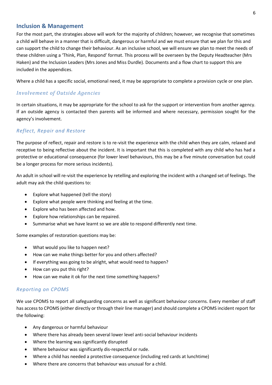### <span id="page-6-0"></span>**Inclusion & Management**

For the most part, the strategies above will work for the majority of children; however, we recognise that sometimes a child will behave in a manner that is difficult, dangerous or harmful and we must ensure that we plan for this and can support the child to change their behaviour. As an inclusive school, we will ensure we plan to meet the needs of these children using a 'Think, Plan, Respond' format. This process will be overseen by the Deputy Headteacher (Mrs Haken) and the Inclusion Leaders (Mrs Jones and Miss Durdle). Documents and a flow chart to support this are included in the appendices.

Where a child has a specific social, emotional need, it may be appropriate to complete a provision cycle or one plan.

### *Involvement of Outside Agencies*

In certain situations, it may be appropriate for the school to ask for the support or intervention from another agency. If an outside agency is contacted then parents will be informed and where necessary, permission sought for the agency's involvement.

### *Reflect, Repair and Restore*

The purpose of reflect, repair and restore is to re-visit the experience with the child when they are calm, relaxed and receptive to being reflective about the incident. It is important that this is completed with any child who has had a protective or educational consequence (for lower level behaviours, this may be a five minute conversation but could be a longer process for more serious incidents).

An adult in school will re-visit the experience by retelling and exploring the incident with a changed set of feelings. The adult may ask the child questions to:

- Explore what happened (tell the story)
- Explore what people were thinking and feeling at the time.
- Explore who has been affected and how.
- Explore how relationships can be repaired.
- Summarise what we have learnt so we are able to respond differently next time.

Some examples of restoration questions may be:

- What would you like to happen next?
- How can we make things better for you and others affected?
- If everything was going to be alright, what would need to happen?
- How can you put this right?
- How can we make it ok for the next time something happens?

### *Reporting on CPOMS*

We use CPOMS to report all safeguarding concerns as well as significant behaviour concerns. Every member of staff has access to CPOMS (either directly or through their line manager) and should complete a CPOMS incident report for the following:

- Any dangerous or harmful behaviour
- Where there has already been several lower level anti-social behaviour incidents
- Where the learning was significantly disrupted
- Where behaviour was significantly dis-respectful or rude.
- Where a child has needed a protective consequence (including red cards at lunchtime)
- Where there are concerns that behaviour was unusual for a child.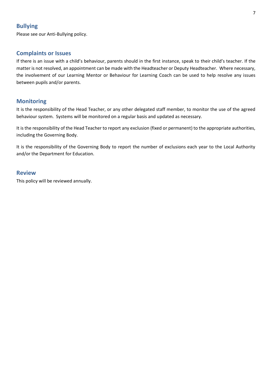### <span id="page-7-0"></span>**Bullying**

Please see our Anti-Bullying policy.

### <span id="page-7-1"></span>**Complaints or Issues**

If there is an issue with a child's behaviour, parents should in the first instance, speak to their child's teacher. If the matter is not resolved, an appointment can be made with the Headteacher or Deputy Headteacher. Where necessary, the involvement of our Learning Mentor or Behaviour for Learning Coach can be used to help resolve any issues between pupils and/or parents.

### <span id="page-7-2"></span>**Monitoring**

It is the responsibility of the Head Teacher, or any other delegated staff member, to monitor the use of the agreed behaviour system. Systems will be monitored on a regular basis and updated as necessary.

It is the responsibility of the Head Teacher to report any exclusion (fixed or permanent) to the appropriate authorities, including the Governing Body.

It is the responsibility of the Governing Body to report the number of exclusions each year to the Local Authority and/or the Department for Education.

### <span id="page-7-3"></span>**Review**

This policy will be reviewed annually.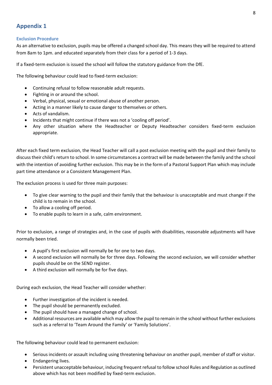### <span id="page-8-1"></span><span id="page-8-0"></span>**Exclusion Procedure**

As an alternative to exclusion, pupils may be offered a changed school day. This means they will be required to attend from 8am to 1pm. and educated separately from their class for a period of 1-3 days.

If a fixed-term exclusion is issued the school will follow the statutory guidance from the DfE.

The following behaviour could lead to fixed-term exclusion:

- Continuing refusal to follow reasonable adult requests.
- Fighting in or around the school.
- Verbal, physical, sexual or emotional abuse of another person.
- Acting in a manner likely to cause danger to themselves or others.
- Acts of vandalism.
- Incidents that might continue if there was not a 'cooling off period'.
- Any other situation where the Headteacher or Deputy Headteacher considers fixed-term exclusion appropriate.

After each fixed term exclusion, the Head Teacher will call a post exclusion meeting with the pupil and their family to discuss their child's return to school. In some circumstances a contract will be made between the family and the school with the intention of avoiding further exclusion. This may be in the form of a Pastoral Support Plan which may include part time attendance or a Consistent Management Plan.

The exclusion process is used for three main purposes:

- To give clear warning to the pupil and their family that the behaviour is unacceptable and must change if the child is to remain in the school.
- To allow a cooling off period.
- To enable pupils to learn in a safe, calm environment.

Prior to exclusion, a range of strategies and, in the case of pupils with disabilities, reasonable adjustments will have normally been tried.

- A pupil's first exclusion will normally be for one to two days.
- A second exclusion will normally be for three days. Following the second exclusion, we will consider whether pupils should be on the SEND register.
- A third exclusion will normally be for five days.

During each exclusion, the Head Teacher will consider whether:

- Further investigation of the incident is needed.
- The pupil should be permanently excluded.
- The pupil should have a managed change of school.
- Additional resources are available which may allow the pupil to remain in the school without further exclusions such as a referral to 'Team Around the Family' or 'Family Solutions'.

The following behaviour could lead to permanent exclusion:

- Serious incidents or assault including using threatening behaviour on another pupil, member of staff or visitor.
- Endangering lives.
- Persistent unacceptable behaviour, inducing frequent refusal to follow school Rules and Regulation as outlined above which has not been modified by fixed-term exclusion.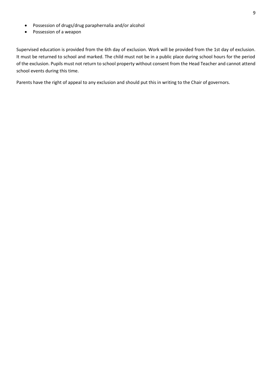- Possession of drugs/drug paraphernalia and/or alcohol
- Possession of a weapon

Supervised education is provided from the 6th day of exclusion. Work will be provided from the 1st day of exclusion. It must be returned to school and marked. The child must not be in a public place during school hours for the period of the exclusion. Pupils must not return to school property without consent from the Head Teacher and cannot attend school events during this time.

Parents have the right of appeal to any exclusion and should put this in writing to the Chair of governors.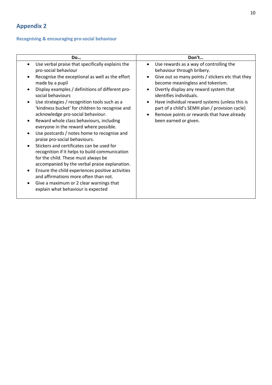## <span id="page-10-1"></span><span id="page-10-0"></span>**Recognising & encouraging pro-social behaviour**

| <b>Do</b>                                                                                                                                                                                                                                                                                                                                                                                                                                                                                                                                                                                                                                                                                                                                                                                                                                                                                                               | Don't                                                                                                                                                                                                                                                                                                                                                                                                         |
|-------------------------------------------------------------------------------------------------------------------------------------------------------------------------------------------------------------------------------------------------------------------------------------------------------------------------------------------------------------------------------------------------------------------------------------------------------------------------------------------------------------------------------------------------------------------------------------------------------------------------------------------------------------------------------------------------------------------------------------------------------------------------------------------------------------------------------------------------------------------------------------------------------------------------|---------------------------------------------------------------------------------------------------------------------------------------------------------------------------------------------------------------------------------------------------------------------------------------------------------------------------------------------------------------------------------------------------------------|
| Use verbal praise that specifically explains the<br>pro-social behaviour<br>Recognise the exceptional as well as the effort<br>made by a pupil<br>Display examples / definitions of different pro-<br>social behaviours<br>Use strategies / recognition tools such as a<br>$\bullet$<br>'kindness bucket' for children to recognise and<br>acknowledge pro-social behaviour.<br>Reward whole class behaviours, including<br>everyone in the reward where possible.<br>Use postcards / notes home to recognise and<br>praise pro-social behaviours.<br>Stickers and certificates can be used for<br>recognition if it helps to build communication<br>for the child. These must always be<br>accompanied by the verbal praise explanation.<br>Ensure the child experiences positive activities<br>and affirmations more often than not.<br>Give a maximum or 2 clear warnings that<br>explain what behaviour is expected | Use rewards as a way of controlling the<br>behaviour through bribery.<br>Give out so many points / stickers etc that they<br>become meaningless and tokenism.<br>Overtly display any reward system that<br>identifies individuals.<br>Have individual reward systems (unless this is<br>part of a child's SEMH plan / provision cycle)<br>Remove points or rewards that have already<br>been earned or given. |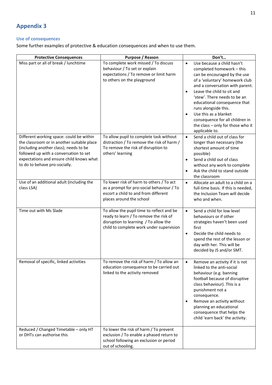### <span id="page-11-1"></span><span id="page-11-0"></span>**Use of consequences**

Some further examples of protective & education consequences and when to use them.

| <b>Protective Consequences</b>                                                                                                                                                                                                                          | Purpose / Reason                                                                                                                                                         | Don't                                                                                                                                                                                                                                                                                                                                                                                                                                        |
|---------------------------------------------------------------------------------------------------------------------------------------------------------------------------------------------------------------------------------------------------------|--------------------------------------------------------------------------------------------------------------------------------------------------------------------------|----------------------------------------------------------------------------------------------------------------------------------------------------------------------------------------------------------------------------------------------------------------------------------------------------------------------------------------------------------------------------------------------------------------------------------------------|
| Miss part or all of break / lunchtime                                                                                                                                                                                                                   | To complete work missed / To discuss<br>behaviour / To set or explain<br>expectations / To remove or limit harm<br>to others on the playground                           | Use because a child hasn't<br>$\bullet$<br>completed homework - this<br>can be encouraged by the use<br>of a 'voluntary' homework club<br>and a conversation with parent.<br>Leave the child to sit and<br>$\bullet$<br>'stew'. There needs to be an<br>educational consequence that<br>runs alongside this.<br>Use this as a blanket<br>$\bullet$<br>consequence for all children in<br>the class - only for those who it<br>applicable to. |
| Different working space: could be within<br>the classroom or in another suitable place<br>(including another class); needs to be<br>followed up with a conversation to set<br>expectations and ensure child knows what<br>to do to behave pro-socially. | To allow pupil to complete task without<br>distraction / To remove the risk of harm /<br>To remove the risk of disruption to<br>others' learning                         | Send a child out of class for<br>$\bullet$<br>longer than necessary (the<br>shortest amount of time<br>possible)<br>Send a child out of class<br>$\bullet$<br>without any work to complete<br>Ask the child to stand outside<br>$\bullet$<br>the classroom                                                                                                                                                                                   |
| Use of an additional adult (including the<br>class LSA)                                                                                                                                                                                                 | To lower risk of harm to others / To act<br>as a prompt for pro-social behaviour / To<br>escort a child to and from different<br>places around the school                | Allocate an adult to a child on a<br>$\bullet$<br>full-time basis. If this is needed,<br>the Inclusion Team will decide<br>who and when.                                                                                                                                                                                                                                                                                                     |
| Time out with Ms Slade                                                                                                                                                                                                                                  | To allow the pupil time to reflect and be<br>ready to learn / To remove the risk of<br>disruption to learning / To allow the<br>child to complete work under supervision | Send a child for low level<br>$\bullet$<br>behaviours or if other<br>strategies haven't been used<br>first<br>Decide the child needs to<br>$\bullet$<br>spend the rest of the lesson or<br>day with her. This will be<br>decided by JS and/or SMT.                                                                                                                                                                                           |
| Removal of specific, linked activities                                                                                                                                                                                                                  | To remove the risk of harm / To allow an<br>education consequence to be carried out<br>linked to the activity removed                                                    | Remove an activity if it is not<br>$\bullet$<br>linked to the anti-social<br>behaviour (e.g. banning<br>football because of disruptive<br>class behaviour). This is a<br>punishment not a<br>consequence.<br>Remove an activity without<br>planning an educational<br>consequence that helps the<br>child 'earn back' the activity.                                                                                                          |
| Reduced / Changed Timetable - only HT<br>or DHTs can authorise this                                                                                                                                                                                     | To lower the risk of harm / To prevent<br>exclusion / To enable a phased return to<br>school following an exclusion or period<br>out of schooling.                       |                                                                                                                                                                                                                                                                                                                                                                                                                                              |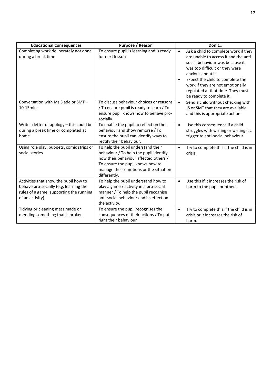| <b>Educational Consequences</b>                                                                                                               | Purpose / Reason                                                                                                                                                                                                    | Don't                                                                                                                                                                                                                                                                                                                         |
|-----------------------------------------------------------------------------------------------------------------------------------------------|---------------------------------------------------------------------------------------------------------------------------------------------------------------------------------------------------------------------|-------------------------------------------------------------------------------------------------------------------------------------------------------------------------------------------------------------------------------------------------------------------------------------------------------------------------------|
| Completing work deliberately not done<br>during a break time                                                                                  | To ensure pupil is learning and is ready<br>for next lesson                                                                                                                                                         | Ask a child to complete work if they<br>$\bullet$<br>are unable to access it and the anti-<br>social behaviour was because it<br>was too difficult or they were<br>anxious about it.<br>Expect the child to complete the<br>work if they are not emotionally<br>regulated at that time. They must<br>be ready to complete it. |
| Conversation with Ms Slade or SMT -<br>$10-15$ mins                                                                                           | To discuss behaviour choices or reasons<br>/ To ensure pupil is ready to learn / To<br>ensure pupil knows how to behave pro-<br>socially.                                                                           | Send a child without checking with<br>$\bullet$<br>JS or SMT that they are available<br>and this is appropriate action.                                                                                                                                                                                                       |
| Write a letter of apology - this could be<br>during a break time or completed at<br>home                                                      | To enable the pupil to reflect on their<br>behaviour and show remorse / To<br>ensure the pupil can identify ways to<br>rectify their behaviour.                                                                     | Use this consequence if a child<br>$\bullet$<br>struggles with writing or writing is a<br>trigger to anti-social behaviour.                                                                                                                                                                                                   |
| Using role play, puppets, comic strips or<br>social stories                                                                                   | To help the pupil understand their<br>behaviour / To help the pupil identify<br>how their behaviour affected others /<br>To ensure the pupil knows how to<br>manage their emotions or the situation<br>differently. | Try to complete this if the child is in<br>$\bullet$<br>crisis.                                                                                                                                                                                                                                                               |
| Activities that show the pupil how to<br>behave pro-socially (e.g. learning the<br>rules of a game, supporting the running<br>of an activity) | To help the pupil understand how to<br>play a game / activity in a pro-social<br>manner / To help the pupil recognise<br>anti-social behaviour and its effect on<br>the activity.                                   | Use this if it increases the risk of<br>$\bullet$<br>harm to the pupil or others                                                                                                                                                                                                                                              |
| Tidying or cleaning mess made or<br>mending something that is broken                                                                          | To ensure the pupil recognises the<br>consequences of their actions / To put<br>right their behaviour                                                                                                               | Try to complete this if the child is in<br>$\bullet$<br>crisis or it increases the risk of<br>harm.                                                                                                                                                                                                                           |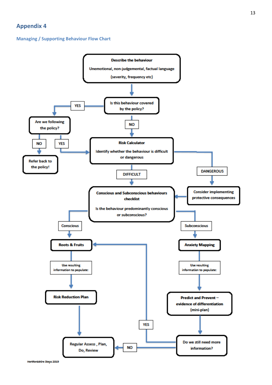### <span id="page-13-1"></span><span id="page-13-0"></span>**Managing / Supporting Behaviour Flow Chart**

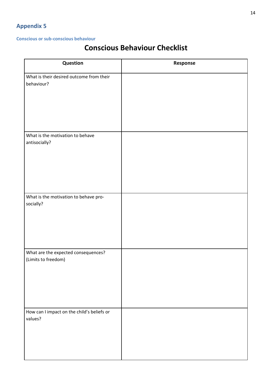### <span id="page-14-1"></span><span id="page-14-0"></span>**Conscious or sub-conscious behaviour**

# **Conscious Behaviour Checklist**

| Question                                                   | Response |
|------------------------------------------------------------|----------|
| What is their desired outcome from their<br>behaviour?     |          |
| What is the motivation to behave                           |          |
| antisocially?                                              |          |
| What is the motivation to behave pro-<br>socially?         |          |
| What are the expected consequences?<br>(Limits to freedom) |          |
| How can I impact on the child's beliefs or<br>values?      |          |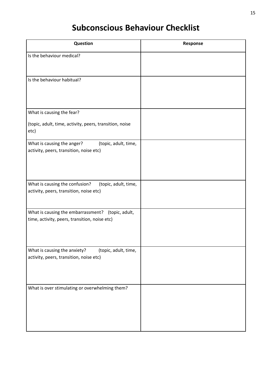# **Subconscious Behaviour Checklist**

| <b>Question</b>                                                                                    | Response |
|----------------------------------------------------------------------------------------------------|----------|
| Is the behaviour medical?                                                                          |          |
| Is the behaviour habitual?                                                                         |          |
| What is causing the fear?                                                                          |          |
| (topic, adult, time, activity, peers, transition, noise<br>etc)                                    |          |
| What is causing the anger?<br>(topic, adult, time,<br>activity, peers, transition, noise etc)      |          |
| What is causing the confusion?<br>(topic, adult, time,<br>activity, peers, transition, noise etc)  |          |
| What is causing the embarrassment? (topic, adult,<br>time, activity, peers, transition, noise etc) |          |
| What is causing the anxiety?<br>(topic, adult, time,<br>activity, peers, transition, noise etc)    |          |
| What is over stimulating or overwhelming them?                                                     |          |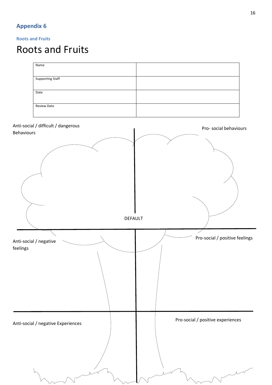### <span id="page-16-1"></span><span id="page-16-0"></span>**Roots and Fruits**

# Roots and Fruits

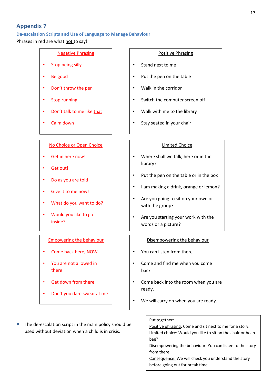### <span id="page-17-1"></span><span id="page-17-0"></span>**De-escalation Scripts and Use of Language to Manage Behaviour**

Phrases in red are what not to say!

### Negative Phrasing

- Stop being silly
- Be good
- Don't throw the pen
- Stop running
- Don't talk to me like that
- Calm down

## <u>No Choice or Open Choice</u>

• Get in here now!

• Stand next to me

- Get out!
- Do as you are told!
- Give it to me now!
- What do you want to do?
- Would you like to go inside?

### Empowering the behaviour

- Come back here, NOW
- You are not allowed in there
- Get down from there
- Don't you dare swear at me

### The de-escalation script in the main policy should be used without deviation when a child is in crisis.

### Positive Phrasing

- Stand next to me
- Put the pen on the table
- Walk in the corridor
- Switch the computer screen off
- Walk with me to the library
- Stay seated in your chair

### Limited Choice

- Where shall we talk, here or in the library?
- Put the pen on the table or in the box
- I am making a drink, orange or lemon?
- Are you going to sit on your own or with the group?
- Are you starting your work with the words or a picture?

### Disempowering the behaviour

- You can listen from there
- Come and find me when you come back
- Come back into the room when you are ready.
- We will carry on when you are ready.

### Put together:

Positive phrasing: Come and sit next to me for a story. Limited choice: Would you like to sit on the chair or bean bag?

Disempowering the behaviour: You can listen to the story from there.

Consequence: We will check you understand the story before going out for break time.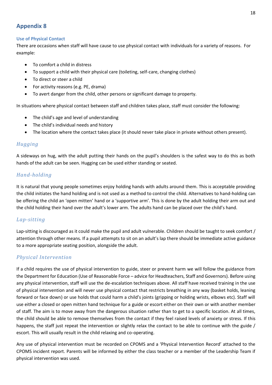### <span id="page-18-1"></span><span id="page-18-0"></span>**Use of Physical Contact**

There are occasions when staff will have cause to use physical contact with individuals for a variety of reasons. For example:

- To comfort a child in distress
- To support a child with their physical care (toileting, self-care, changing clothes)
- To direct or steer a child
- For activity reasons (e.g. PE, drama)
- To avert danger from the child, other persons or significant damage to property.

In situations where physical contact between staff and children takes place, staff must consider the following:

- The child's age and level of understanding
- The child's individual needs and history
- The location where the contact takes place (it should never take place in private without others present).

### *Hugging*

A sideways on hug, with the adult putting their hands on the pupil's shoulders is the safest way to do this as both hands of the adult can be seen. Hugging can be used either standing or seated.

### *Hand-holding*

It is natural that young people sometimes enjoy holding hands with adults around them. This is acceptable providing the child initiates the hand holding and is not used as a method to control the child. Alternatives to hand-holding can be offering the child an 'open mitten' hand or a 'supportive arm'. This is done by the adult holding their arm out and the child holding their hand over the adult's lower arm. The adults hand can be placed over the child's hand.

### *Lap-sitting*

Lap-sitting is discouraged as it could make the pupil and adult vulnerable. Children should be taught to seek comfort / attention through other means. If a pupil attempts to sit on an adult's lap there should be immediate active guidance to a more appropriate seating position, alongside the adult.

### *Physical Intervention*

If a child requires the use of physical intervention to guide, steer or prevent harm we will follow the guidance from the Department for Education (Use of Reasonable Force – advice for Headteachers, Staff and Governors). Before using any physical intervention, staff will use the de-escalation techniques above. All staff have received training in the use of physical intervention and will never use physical contact that restricts breathing in any way (basket holds, leaning forward or face down) or use holds that could harm a child's joints (gripping or holding wrists, elbows etc). Staff will use either a closed or open mitten hand technique for a guide or escort either on their own or with another member of staff. The aim is to move away from the dangerous situation rather than to get to a specific location. At all times, the child should be able to remove themselves from the contact if they feel raised levels of anxiety or stress. If this happens, the staff just repeat the intervention or slightly relax the contact to be able to continue with the guide / escort. This will usually result in the child relaxing and co-operating.

Any use of physical intervention must be recorded on CPOMS and a 'Physical Intervention Record' attached to the CPOMS incident report. Parents will be informed by either the class teacher or a member of the Leadership Team if physical intervention was used.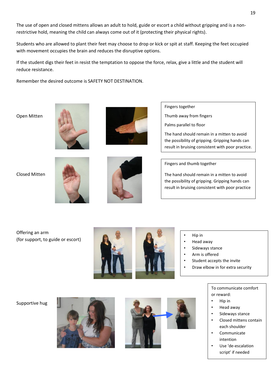The use of open and closed mittens allows an adult to hold, guide or escort a child without gripping and is a nonrestrictive hold, meaning the child can always come out of it (protecting their physical rights).

Students who are allowed to plant their feet may choose to drop or kick or spit at staff. Keeping the feet occupied with movement occupies the brain and reduces the disruptive options.

If the student digs their feet in resist the temptation to oppose the force, relax, give a little and the student will reduce resistance.

Remember the desired outcome is SAFETY NOT DESTINATION.

Open Mitten





Closed Mitten





Fingers together

Thumb away from fingers

Palms parallel to floor

The hand should remain in a mitten to avoid the possibility of gripping. Gripping hands can result in bruising consistent with poor practice.

Fingers and thumb together

The hand should remain in a mitten to avoid the possibility of gripping. Gripping hands can result in bruising consistent with poor practice

Offering an arm (for support, to guide or escort)



• Hip in

- Head away
- Sideways stance
- Arm is offered
- Student accepts the invite
- Draw elbow in for extra security

### Supportive hug





To communicate comfort or reward:

- Hip in
- Head away
- Sideways stance
- Closed mittens contain each shoulder
- Communicate intention
- Use 'de-escalation script' if needed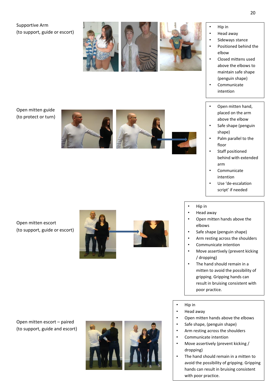Open mitten escort – paired (to support, guide and escort)

Open mitten escort

(to support, guide or escort)

Open mitten guide (to protect or turn)

Supportive Arm

(to support, guide or escort)







• Hip in

- Head away
- Sideways stance
- Positioned behind the elbow
- Closed mittens used above the elbows to maintain safe shape (penguin shape)
- Communicate intention
- Open mitten hand, placed on the arm above the elbow
- Safe shape (penguin shape)
- Palm parallel to the floor
- Staff positioned behind with extended arm
- Communicate intention
- Use 'de -escalation script' if needed
- Hip in
- Head away
- Open mitten hands above the elbows
- Safe shape (penguin shape)
- Arm resting across the shoulders
- Communicate intention
- Move assertively (prevent kicking / dropping)
- The hand should remain in a mitten to avoid the possibility of gripping. Gripping hands can result in bruising consistent with poor practice.
- Hip in
- Head away
- Open mitten hands above the elbows
- Safe shape, (penguin shape)
- Arm resting across the shoulders
- Communicate intention
- Move assertively (prevent kicking / dropping)
- The hand should remain in a mitten to avoid the possibility of gripping. Gripping hands can result in bruising consistent with poor practice.

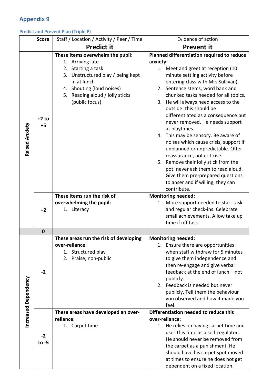### <span id="page-21-1"></span><span id="page-21-0"></span>**Predict and Prevent Plan (Triple P)**

|                             | <b>Score</b> | Staff / Location / Activity / Peer / Time                | Evidence of action                                                         |  |
|-----------------------------|--------------|----------------------------------------------------------|----------------------------------------------------------------------------|--|
|                             |              | <b>Predict it</b>                                        | <b>Prevent it</b>                                                          |  |
|                             |              | These items overwhelm the pupil:                         | Planned differentiation required to reduce                                 |  |
|                             |              | 1. Arriving late                                         | anxiety:                                                                   |  |
|                             |              | Starting a task<br>2.                                    | 1. Meet and greet at reception (10                                         |  |
|                             |              | 3. Unstructured play / being kept                        | minute settling activity before                                            |  |
|                             |              | in at lunch                                              | entering class with Mrs Sullivan).                                         |  |
|                             |              | 4. Shouting (loud noises)                                | 2. Sentence stems, word bank and                                           |  |
|                             |              | 5. Reading aloud / lolly sticks                          | chunked tasks needed for all topics.                                       |  |
|                             |              | (public focus)                                           | 3. He will always need access to the                                       |  |
|                             |              |                                                          | outside: this should be                                                    |  |
|                             | $+2$ to      |                                                          | differentiated as a consequence but                                        |  |
|                             | $+5$         |                                                          | never removed. He needs support                                            |  |
|                             |              |                                                          | at playtimes.                                                              |  |
| Raised Anxiety              |              |                                                          | 4. This may be sensory. Be aware of                                        |  |
|                             |              |                                                          | noises which cause crisis, support if<br>unplanned or unpredictable. Offer |  |
|                             |              |                                                          | reassurance, not criticise.                                                |  |
|                             |              |                                                          | 5. Remove their lolly stick from the                                       |  |
|                             |              |                                                          | pot: never ask them to read aloud.                                         |  |
|                             |              |                                                          | Give them pre-prepared questions                                           |  |
|                             |              |                                                          | to anser and if willing, they can                                          |  |
|                             |              |                                                          | contribute.                                                                |  |
|                             |              | These items run the risk of                              | <b>Monitoring needed:</b>                                                  |  |
|                             |              | overwhelming the pupil:                                  | 1. More support needed to start task                                       |  |
|                             | $+2$         | 1. Literacy                                              | and regular check-ins. Celebrate                                           |  |
|                             |              |                                                          | small achievements. Allow take up                                          |  |
|                             |              |                                                          | time if off task.                                                          |  |
|                             | $\bf{0}$     |                                                          |                                                                            |  |
|                             |              | These areas run the risk of developing<br>over-reliance: | <b>Monitoring needed:</b><br>1. Ensure there are opportunities             |  |
|                             |              | Structured play<br>1.                                    | when staff withdraw for 5 minutes                                          |  |
|                             |              | Praise, non-public<br>2.                                 | to give them independence and                                              |  |
|                             |              |                                                          | then re-engage and give verbal                                             |  |
|                             | $-2$         |                                                          | feedback at the end of lunch - not                                         |  |
|                             |              |                                                          | publicly.                                                                  |  |
|                             |              |                                                          | 2. Feedback is needed but never                                            |  |
|                             |              |                                                          | publicly. Tell them the behaviour                                          |  |
|                             |              |                                                          | you observed and how it made you                                           |  |
|                             |              |                                                          | feel.                                                                      |  |
| <b>Increased Dependency</b> |              | These areas have developed an over-<br>reliance:         | Differentiation needed to reduce this<br>over-reliance:                    |  |
|                             |              | 1. Carpet time                                           | 1. He relies on having carpet time and                                     |  |
|                             |              |                                                          | uses this time as a self-regulator.                                        |  |
|                             | $-2$         |                                                          | He should never be removed from                                            |  |
| to $-5$                     |              |                                                          | the carpet as a punishment. He                                             |  |
|                             |              |                                                          | should have his carpet spot moved                                          |  |
|                             |              |                                                          | at times to ensure he does not get                                         |  |
|                             |              |                                                          | dependent on a fixed location.                                             |  |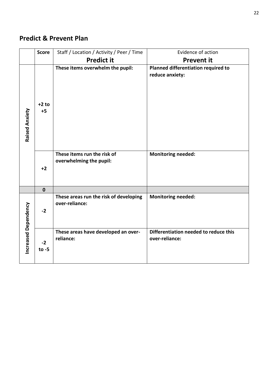# **Predict & Prevent Plan**

|                      | <b>Score</b>    | Staff / Location / Activity / Peer / Time                | Evidence of action                                      |  |
|----------------------|-----------------|----------------------------------------------------------|---------------------------------------------------------|--|
|                      |                 | <b>Predict it</b>                                        | <b>Prevent it</b>                                       |  |
| Raised Anxiety       | $+2$ to<br>$+5$ | These items overwhelm the pupil:                         | Planned differentiation required to<br>reduce anxiety:  |  |
|                      | $+2$            | These items run the risk of<br>overwhelming the pupil:   | <b>Monitoring needed:</b>                               |  |
|                      | $\mathbf 0$     |                                                          |                                                         |  |
|                      | $-2$            | These areas run the risk of developing<br>over-reliance: | <b>Monitoring needed:</b>                               |  |
| Increased Dependency | $-2$<br>to $-5$ | These areas have developed an over-<br>reliance:         | Differentiation needed to reduce this<br>over-reliance: |  |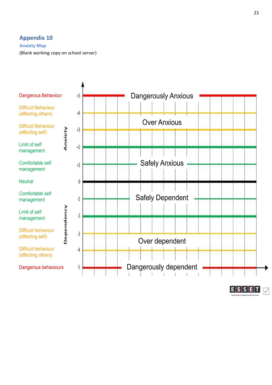### <span id="page-23-1"></span><span id="page-23-0"></span>**Anxiety Map**

(Blank working copy on school server)





 $E|S|S|E|T$  $\sqrt{}$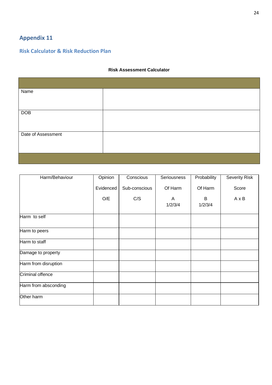### <span id="page-24-1"></span><span id="page-24-0"></span>**Risk Calculator & Risk Reduction Plan**

### **Risk Assessment Calculator**

| Name               |  |
|--------------------|--|
|                    |  |
| DOB                |  |
|                    |  |
| Date of Assessment |  |
|                    |  |
|                    |  |

| Harm/Behaviour       | Opinion   | Conscious     | Seriousness  | Probability  | <b>Severity Risk</b> |
|----------------------|-----------|---------------|--------------|--------------|----------------------|
|                      | Evidenced | Sub-conscious | Of Harm      | Of Harm      | Score                |
|                      | O/E       | C/S           | A<br>1/2/3/4 | B<br>1/2/3/4 | $A \times B$         |
|                      |           |               |              |              |                      |
| Harm to self         |           |               |              |              |                      |
| Harm to peers        |           |               |              |              |                      |
| Harm to staff        |           |               |              |              |                      |
| Damage to property   |           |               |              |              |                      |
| Harm from disruption |           |               |              |              |                      |
| Criminal offence     |           |               |              |              |                      |
| Harm from absconding |           |               |              |              |                      |
| Other harm           |           |               |              |              |                      |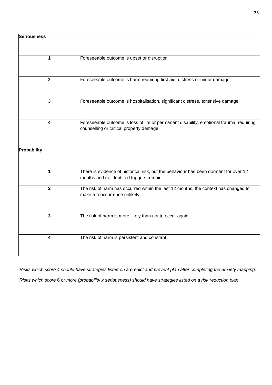| <b>Seriousness</b> |                                                                                                                                    |
|--------------------|------------------------------------------------------------------------------------------------------------------------------------|
| 1                  | Foreseeable outcome is upset or disruption                                                                                         |
| $\overline{2}$     | Foreseeable outcome is harm requiring first aid, distress or minor damage                                                          |
| 3                  | Foreseeable outcome is hospitalisation, significant distress, extensive damage                                                     |
| 4                  | Foreseeable outcome is loss of life or permanent disability, emotional trauma requiring<br>counselling or critical property damage |
| Probability        |                                                                                                                                    |
| 1                  | There is evidence of historical risk, but the behaviour has been dormant for over 12<br>months and no identified triggers remain   |
| $\overline{2}$     | The risk of harm has occurred within the last 12 months, the context has changed to<br>make a reoccurrence unlikely                |
| 3                  | The risk of harm is more likely than not to occur again                                                                            |
| 4                  | The risk of harm is persistent and constant                                                                                        |

*Risks which score 4 should have strategies listed on a predict and prevent plan after completing the anxiety mapping.*

*Risks which score 6 or more (probability x seriousness) should have strategies listed on a risk reduction plan.*